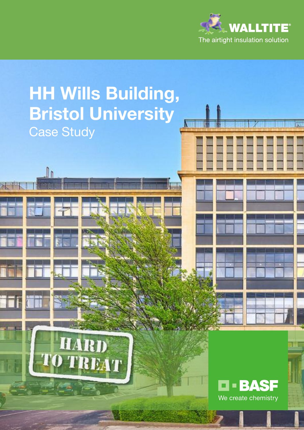

# **HH Wills Building, Bristol University** Case StudyARD AT **- BASF** ш We create chemistry